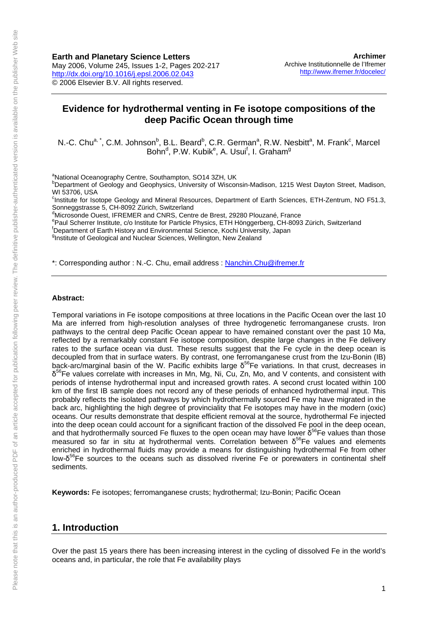# **Evidence for hydrothermal venting in Fe isotope compositions of the deep Pacific Ocean through time**

N.-C. Chu<sup>a, \*</sup>, C.M. Johnson<sup>b</sup>, B.L. Beard<sup>b</sup>, C.R. German<sup>a</sup>, R.W. Nesbitt<sup>a</sup>, M. Frank<sup>c</sup>, Marcel Bohn<sup>d</sup>, P.W. Kubik<sup>e</sup>, A. Usui<sup>f</sup>, I. Graham<sup>g</sup>

<sup>a</sup>National Oceanography Centre, Southampton, SO14 3ZH, UK<br>**pDepartment of Coology and Coophysics**, University of Wiscon

**Department of Geology and Geophysics, University of Wisconsin-Madison, 1215 West Dayton Street, Madison,** WI 53706, USA

<sup>c</sup>Institute for Isotope Geology and Mineral Resources, Department of Earth Sciences, ETH-Zentrum, NO F51.3, Sonneggstrasse 5, CH-8092 Zürich, Switzerland

d Microsonde Ouest, IFREMER and CNRS, Centre de Brest, 29280 Plouzané, France

epaul Scherrer Institute, c/o Institute for Particle Physics, ETH Hönggerberg, CH-8093 Zürich, Switzerland

Department of Earth History and Environmental Science, Kochi University, Japan

<sup>g</sup>Institute of Geological and Nuclear Sciences, Wellington, New Zealand

\*: Corresponding author : N.-C. Chu, email address : [Nanchin.Chu@ifremer.fr](mailto:Nanchin.Chu@ifremer.fr)

#### **Abstract:**

Temporal variations in Fe isotope compositions at three locations in the Pacific Ocean over the last 10 Ma are inferred from high-resolution analyses of three hydrogenetic ferromanganese crusts. Iron pathways to the central deep Pacific Ocean appear to have remained constant over the past 10 Ma, reflected by a remarkably constant Fe isotope composition, despite large changes in the Fe delivery rates to the surface ocean via dust. These results suggest that the Fe cycle in the deep ocean is decoupled from that in surface waters. By contrast, one ferromanganese crust from the Izu-Bonin (IB) back-arc/marginal basin of the W. Pacific exhibits large  $\delta^{56}$ Fe variations. In that crust, decreases in  $\delta^{56}$ Fe values correlate with increases in Mn, Mg, Ni, Cu, Zn, Mo, and V contents, and consistent with periods of intense hydrothermal input and increased growth rates. A second crust located within 100 km of the first IB sample does not record any of these periods of enhanced hydrothermal input. This probably reflects the isolated pathways by which hydrothermally sourced Fe may have migrated in the back arc, highlighting the high degree of provinciality that Fe isotopes may have in the modern (oxic) oceans. Our results demonstrate that despite efficient removal at the source, hydrothermal Fe injected into the deep ocean could account for a significant fraction of the dissolved Fe pool in the deep ocean, and that hydrothermally sourced Fe fluxes to the open ocean may have lower  $\delta^{56}$ Fe values than those measured so far in situ at hydrothermal vents. Correlation between  $δ^{56}$ Fe values and elements enriched in hydrothermal fluids may provide a means for distinguishing hydrothermal Fe from other low- $\delta^{56}$ Fe sources to the oceans such as dissolved riverine Fe or porewaters in continental shelf sediments.

**Keywords:** Fe isotopes; ferromanganese crusts; hydrothermal; Izu-Bonin; Pacific Ocean

# **1. Introduction**

Over the past 15 years there has been increasing interest in the cycling of dissolved Fe in the world's oceans and, in particular, the role that Fe availability plays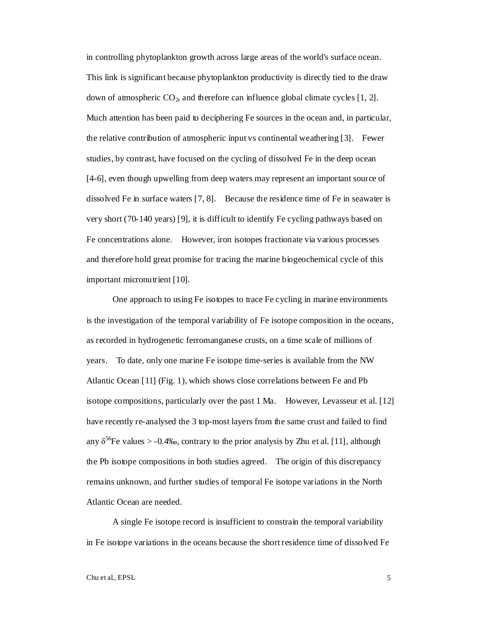in controlling phytoplankton growth across large areas of the world's surface ocean. This link is significant because phytoplankton productivity is directly tied to the draw down of atmospheric  $CO_2$ , and therefore can influence global climate cycles [1, 2]. Much attention has been paid to deciphering Fe sources in the ocean and, in particular, the relative contribution of atmospheric input vs continental weathering [3]. Fewer studies, by contrast, have focused on the cycling of dissolved Fe in the deep ocean [4-6], even though upwelling from deep waters may represent an important source of dissolved Fe in surface waters [7, 8]. Because the residence time of Fe in seawater is very short (70-140 years) [9], it is difficult to identify Fe cycling pathways based on Fe concentrations alone. However, iron isotopes fractionate via various processes and therefore hold great promise for tracing the marine biogeochemical cycle of this important micronutrient [10].

One approach to using Fe isotopes to trace Fe cycling in marine environments is the investigation of the temporal variability of Fe isotope composition in the oceans, as recorded in hydrogenetic ferromanganese crusts, on a time scale of millions of years. To date, only one marine Fe isotope time-series is available from the NW Atlantic Ocean [11] (Fig. 1), which shows close correlations between Fe and Pb isotope compositions, particularly over the past 1 Ma. However, Levasseur et al. [12] have recently re-analysed the 3 top-most layers from the same crust and failed to find any  $\delta^{56}$ Fe values > -0.4‰, contrary to the prior analysis by Zhu et al. [11], although the Pb isotope compositions in both studies agreed. The origin of this discrepancy remains unknown, and further studies of temporal Fe isotope variations in the North Atlantic Ocean are needed.

A single Fe isotope record is insufficient to constrain the temporal variability in Fe isotope variations in the oceans because the short residence time of dissolved Fe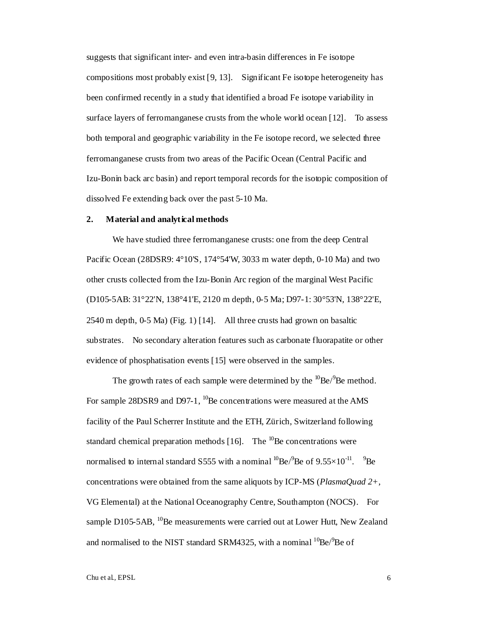suggests that significant inter- and even intra-basin differences in Fe isotope compositions most probably exist [9, 13]. Significant Fe isotope heterogeneity has been confirmed recently in a study that identified a broad Fe isotope variability in surface layers of ferromanganese crusts from the whole world ocean [12]. To assess both temporal and geographic variability in the Fe isotope record, we selected three ferromanganese crusts from two areas of the Pacific Ocean (Central Pacific and Izu-Bonin back arc basin) and report temporal records for the isotopic composition of dissolved Fe extending back over the past 5-10 Ma.

# **2. Material and analytical methods**

We have studied three ferromanganese crusts: one from the deep Central Pacific Ocean (28DSR9: 4°10'S, 174°54'W, 3033 m water depth, 0-10 Ma) and two other crusts collected from the Izu-Bonin Arc region of the marginal West Pacific (D105-5AB: 31°22'N, 138°41'E, 2120 m depth, 0-5 Ma; D97-1: 30°53'N, 138°22'E, 2540 m depth, 0-5 Ma) (Fig. 1) [14]. All three crusts had grown on basaltic substrates. No secondary alteration features such as carbonate fluorapatite or other evidence of phosphatisation events [15] were observed in the samples.

The growth rates of each sample were determined by the  $^{10}Be/^{9}Be$  method. For sample 28DSR9 and D97-1,  $^{10}$ Be concentrations were measured at the AMS facility of the Paul Scherrer Institute and the ETH, Zürich, Switzerland following standard chemical preparation methods  $[16]$ . The <sup>10</sup>Be concentrations were normalised to internal standard S555 with a nominal  ${}^{10}$ Be/ ${}^{9}$ Be of 9.55×10<sup>-11</sup>.  ${}^{9}$ Be concentrations were obtained from the same aliquots by ICP-MS (*PlasmaQuad 2+*, VG Elemental) at the National Oceanography Centre, Southampton (NOCS). For sample D105-5AB,  $^{10}$ Be measurements were carried out at Lower Hutt, New Zealand and normalised to the NIST standard SRM4325, with a nominal  ${}^{10}$ Be/ ${}^{9}$ Be of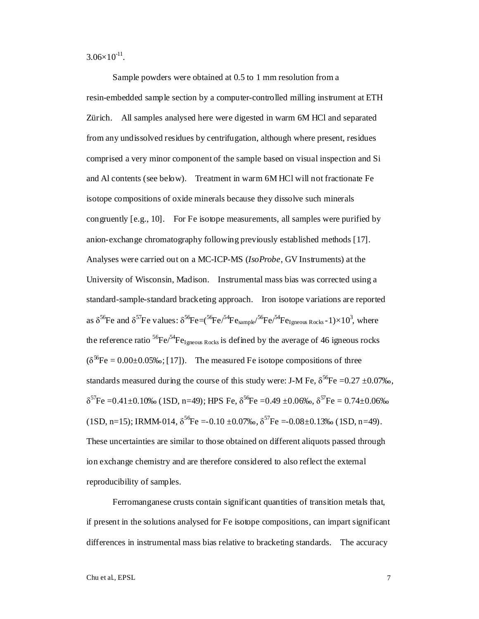$3.06\times10^{-11}$ .

Sample powders were obtained at 0.5 to 1 mm resolution from a resin-embedded sample section by a computer-controlled milling instrument at ETH Zürich. All samples analysed here were digested in warm 6M HCl and separated from any undissolved residues by centrifugation, although where present, residues comprised a very minor component of the sample based on visual inspection and Si and Al contents (see below). Treatment in warm 6M HCl will not fractionate Fe isotope compositions of oxide minerals because they dissolve such minerals congruently [e.g., 10]. For Fe isotope measurements, all samples were purified by anion-exchange chromatography following previously established methods [17]. Analyses were carried out on a MC-ICP-MS (*IsoProbe*, GV Instruments) at the University of Wisconsin, Madison. Instrumental mass bias was corrected using a standard-sample-standard bracketing approach. Iron isotope variations are reported as  $\delta^{56}$ Fe and  $\delta^{57}$ Fe values:  $\delta^{56}$ Fe=( $\delta^{56}$ Fe/ $\delta^{4}$ Fe<sub>sample</sub>/ $\delta^{56}$ Fe/ $\delta^{4}$ Fe<sub>Igneous Rocks</sub>-1)×10<sup>3</sup>, where the reference ratio  ${}^{56}Fe/{}^{54}Fe$ <sub>Igneous Rocks</sub> is defined by the average of 46 igneous rocks  $(\delta^{56}Fe = 0.00 \pm 0.05\% \cdot ; [17])$ . The measured Fe isotope compositions of three standards measured during the course of this study were: J-M Fe,  $\delta^{56}$ Fe =0.27 ±0.07‰,  $δ^{57}Fe = 0.41 ± 0.10%$  (1SD, n=49); HPS Fe,  $δ^{56}Fe = 0.49 ± 0.06%$ ,  $δ^{57}Fe = 0.74 ± 0.06%$ (1SD, n=15); IRMM-014,  $\delta^{56}$ Fe =-0.10 ±0.07‰,  $\delta^{57}$ Fe =-0.08±0.13‰ (1SD, n=49). These uncertainties are similar to those obtained on different aliquots passed through ion exchange chemistry and are therefore considered to also reflect the external reproducibility of samples.

Ferromanganese crusts contain significant quantities of transition metals that, if present in the solutions analysed for Fe isotope compositions, can impart significant differences in instrumental mass bias relative to bracketing standards. The accuracy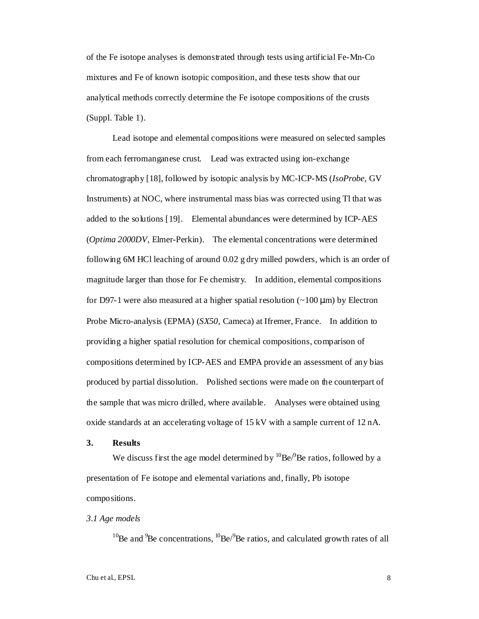of the Fe isotope analyses is demonstrated through tests using artificial Fe-Mn-Co mixtures and Fe of known isotopic composition, and these tests show that our analytical methods correctly determine the Fe isotope compositions of the crusts (Suppl. Table 1).

Lead isotope and elemental compositions were measured on selected samples from each ferromanganese crust. Lead was extracted using ion-exchange chromatography [18], followed by isotopic analysis by MC-ICP-MS (*IsoProbe*, GV Instruments) at NOC, where instrumental mass bias was corrected using Tl that was added to the solutions [19]. Elemental abundances were determined by ICP-AES (*Optima 2000DV*, Elmer-Perkin). The elemental concentrations were determined following 6M HCl leaching of around 0.02 g dry milled powders, which is an order of magnitude larger than those for Fe chemistry. In addition, elemental compositions for D97-1 were also measured at a higher spatial resolution  $\left(\sim 100 \,\mu\text{m}\right)$  by Electron Probe Micro-analysis (EPMA) (*SX50,* Cameca) at Ifremer, France. In addition to providing a higher spatial resolution for chemical compositions, comparison of compositions determined by ICP-AES and EMPA provide an assessment of any bias produced by partial dissolution. Polished sections were made on the counterpart of the sample that was micro drilled, where available. Analyses were obtained using oxide standards at an accelerating voltage of 15 kV with a sample current of 12 nA.

# **3. Results**

We discuss first the age model determined by  ${}^{10}Be/{}^{9}Be$  ratios, followed by a presentation of Fe isotope and elemental variations and, finally, Pb isotope compositions.

## *3.1 Age models*

 $10$ Be and  $9$ Be concentrations,  $10$ Be/ $9$ Be ratios, and calculated growth rates of all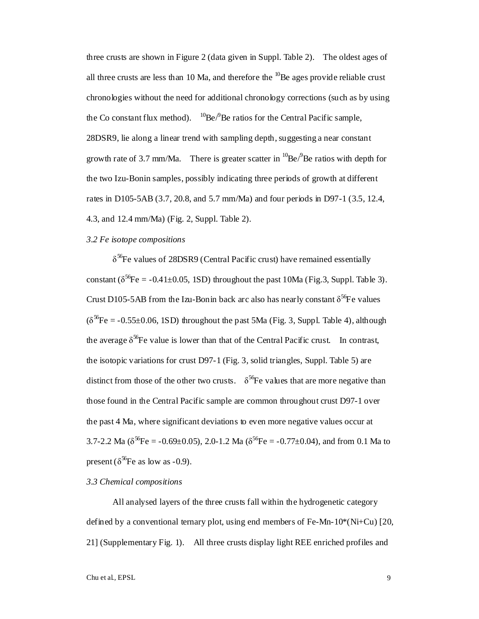three crusts are shown in Figure 2 (data given in Suppl. Table 2). The oldest ages of all three crusts are less than 10 Ma, and therefore the  $^{10}$ Be ages provide reliable crust chronologies without the need for additional chronology corrections (such as by using the Co constant flux method).  ${}^{10}Be/{}^{9}Be$  ratios for the Central Pacific sample, 28DSR9, lie along a linear trend with sampling depth, suggesting a near constant growth rate of 3.7 mm/Ma. There is greater scatter in  ${}^{10}$ Be/ ${}^{9}$ Be ratios with depth for the two Izu-Bonin samples, possibly indicating three periods of growth at different rates in D105-5AB (3.7, 20.8, and 5.7 mm/Ma) and four periods in D97-1 (3.5, 12.4, 4.3, and 12.4 mm/Ma) (Fig. 2, Suppl. Table 2).

#### *3.2 Fe isotope compositions*

 $\delta^{56}$ Fe values of 28DSR9 (Central Pacific crust) have remained essentially constant ( $\delta^{56}$ Fe = -0.41±0.05, 1SD) throughout the past 10Ma (Fig.3, Suppl. Table 3). Crust D105-5AB from the Izu-Bonin back arc also has nearly constant  $\delta^{56}$ Fe values  $(\delta^{56}Fe = -0.55\pm0.06, 1SD)$  throughout the past 5Ma (Fig. 3, Suppl. Table 4), although the average  $\delta^{56}$ Fe value is lower than that of the Central Pacific crust. In contrast, the isotopic variations for crust D97-1 (Fig. 3, solid triangles, Suppl. Table 5) are distinct from those of the other two crusts.  $\delta^{56}$ Fe values that are more negative than those found in the Central Pacific sample are common throughout crust D97-1 over the past 4 Ma, where significant deviations to even more negative values occur at 3.7-2.2 Ma ( $\delta^{56}$ Fe = -0.69±0.05), 2.0-1.2 Ma ( $\delta^{56}$ Fe = -0.77±0.04), and from 0.1 Ma to present ( $\delta^{56}$ Fe as low as -0.9).

### *3.3 Chemical compositions*

All analysed layers of the three crusts fall within the hydrogenetic category defined by a conventional ternary plot, using end members of Fe-Mn-10\*(Ni+Cu) [20, 21] (Supplementary Fig. 1). All three crusts display light REE enriched profiles and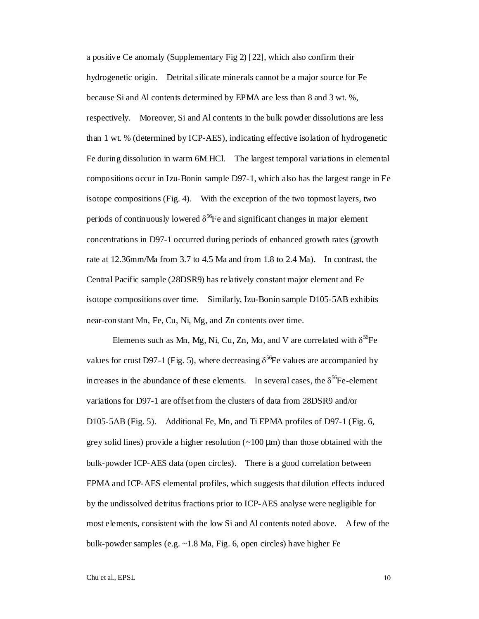a positive Ce anomaly (Supplementary Fig 2) [22], which also confirm their hydrogenetic origin. Detrital silicate minerals cannot be a major source for Fe because Si and Al contents determined by EPMA are less than 8 and 3 wt. %, respectively. Moreover, Si and Al contents in the bulk powder dissolutions are less than 1 wt. % (determined by ICP-AES), indicating effective isolation of hydrogenetic Fe during dissolution in warm 6M HCl. The largest temporal variations in elemental compositions occur in Izu-Bonin sample D97-1, which also has the largest range in Fe isotope compositions (Fig. 4). With the exception of the two topmost layers, two periods of continuously lowered  $\delta^{56}$ Fe and significant changes in major element concentrations in D97-1 occurred during periods of enhanced growth rates (growth rate at 12.36mm/Ma from 3.7 to 4.5 Ma and from 1.8 to 2.4 Ma). In contrast, the Central Pacific sample (28DSR9) has relatively constant major element and Fe isotope compositions over time. Similarly, Izu-Bonin sample D105-5AB exhibits near-constant Mn, Fe, Cu, Ni, Mg, and Zn contents over time.

Elements such as Mn, Mg, Ni, Cu, Zn, Mo, and V are correlated with  $\delta^{56}$ Fe values for crust D97-1 (Fig. 5), where decreasing  $\delta^{56}$ Fe values are accompanied by increases in the abundance of these elements. In several cases, the  $\delta^{56}$ Fe-element variations for D97-1 are offset from the clusters of data from 28DSR9 and/or D105-5AB (Fig. 5). Additional Fe, Mn, and Ti EPMA profiles of D97-1 (Fig. 6, grey solid lines) provide a higher resolution  $(\sim 100 \,\mu m)$  than those obtained with the bulk-powder ICP-AES data (open circles). There is a good correlation between EPMA and ICP-AES elemental profiles, which suggests that dilution effects induced by the undissolved detritus fractions prior to ICP-AES analyse were negligible for most elements, consistent with the low Si and Al contents noted above. A few of the bulk-powder samples (e.g. ~1.8 Ma, Fig. 6, open circles) have higher Fe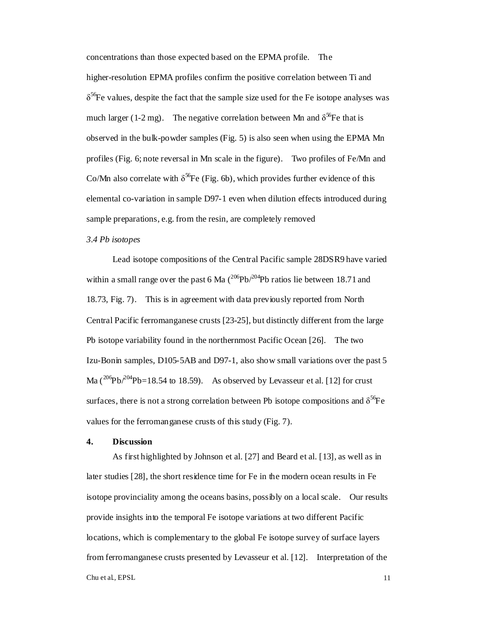concentrations than those expected based on the EPMA profile. The higher-resolution EPMA profiles confirm the positive correlation between Ti and  $\delta^{56}$ Fe values, despite the fact that the sample size used for the Fe isotope analyses was much larger (1-2 mg). The negative correlation between Mn and  $\delta^{56}$ Fe that is observed in the bulk-powder samples (Fig. 5) is also seen when using the EPMA Mn profiles (Fig. 6; note reversal in Mn scale in the figure). Two profiles of Fe/Mn and Co/Mn also correlate with  $\delta^{56}$ Fe (Fig. 6b), which provides further evidence of this elemental co-variation in sample D97-1 even when dilution effects introduced during sample preparations, e.g. from the resin, are completely removed

#### *3.4 Pb isotopes*

Lead isotope compositions of the Central Pacific sample 28DSR9 have varied within a small range over the past 6 Ma  $(^{206}Pb/^{204}Pb$  ratios lie between 18.71 and 18.73, Fig. 7). This is in agreement with data previously reported from North Central Pacific ferromanganese crusts [23-25], but distinctly different from the large Pb isotope variability found in the northernmost Pacific Ocean [26]. The two Izu-Bonin samples, D105-5AB and D97-1, also show small variations over the past 5 Ma  $\left(\frac{206}{\text{Pb}}\right)^{204}$ Pb=18.54 to 18.59). As observed by Levasseur et al. [12] for crust surfaces, there is not a strong correlation between Pb isotope compositions and  $\delta^{56}Fe$ values for the ferromanganese crusts of this study (Fig. 7).

#### **4. Discussion**

Chu et al., EPSL 11 As first highlighted by Johnson et al. [27] and Beard et al. [13], as well as in later studies [28], the short residence time for Fe in the modern ocean results in Fe isotope provinciality among the oceans basins, possibly on a local scale. Our results provide insights into the temporal Fe isotope variations at two different Pacific locations, which is complementary to the global Fe isotope survey of surface layers from ferromanganese crusts presented by Levasseur et al. [12]. Interpretation of the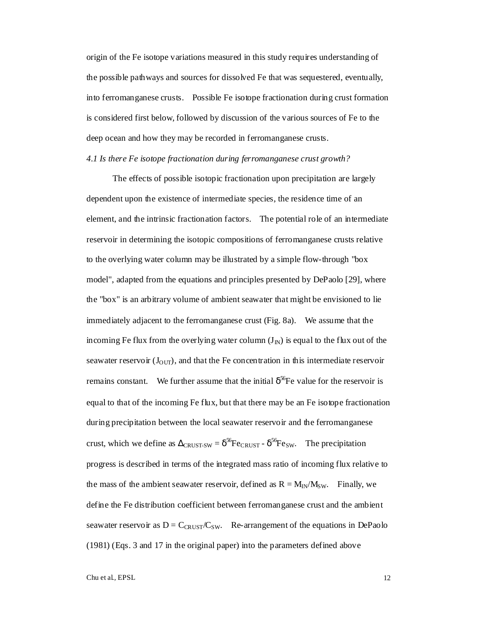origin of the Fe isotope variations measured in this study requires understanding of the possible pathways and sources for dissolved Fe that was sequestered, eventually, into ferromanganese crusts. Possible Fe isotope fractionation during crust formation is considered first below, followed by discussion of the various sources of Fe to the deep ocean and how they may be recorded in ferromanganese crusts.

#### *4.1 Is there Fe isotope fractionation during ferromanganese crust growth?*

The effects of possible isotopic fractionation upon precipitation are largely dependent upon the existence of intermediate species, the residence time of an element, and the intrinsic fractionation factors. The potential role of an intermediate reservoir in determining the isotopic compositions of ferromanganese crusts relative to the overlying water column may be illustrated by a simple flow-through "box model", adapted from the equations and principles presented by DePaolo [29], where the "box" is an arbitrary volume of ambient seawater that might be envisioned to lie immediately adjacent to the ferromanganese crust (Fig. 8a). We assume that the incoming Fe flux from the overlying water column  $(J_{N})$  is equal to the flux out of the seawater reservoir  $(J<sub>OUT</sub>)$ , and that the Fe concentration in this intermediate reservoir remains constant. We further assume that the initial  $\delta^{56}$ Fe value for the reservoir is equal to that of the incoming Fe flux, but that there may be an Fe isotope fractionation during precipitation between the local seawater reservoir and the ferromanganese crust, which we define as  $\Delta_{CRIST-SW} = \delta^{56}F_{CRIIST} - \delta^{56}F_{CSW}$ . The precipitation progress is described in terms of the integrated mass ratio of incoming flux relative to the mass of the ambient seawater reservoir, defined as  $R = M_{IN}/M_{SW}$ . Finally, we define the Fe distribution coefficient between ferromanganese crust and the ambient seawater reservoir as  $D = C_{CRUST}/C_{SW}$ . Re-arrangement of the equations in DePaolo (1981) (Eqs. 3 and 17 in the original paper) into the parameters defined above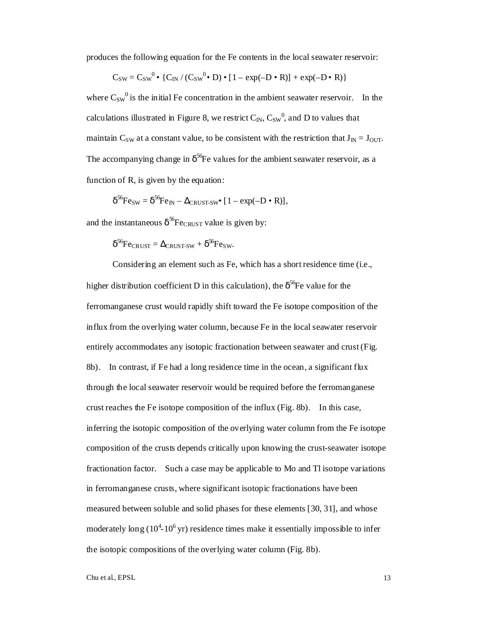produces the following equation for the Fe contents in the local seawater reservoir:

$$
C_{SW} = C_{SW}^0 \bullet \{C_{IN} / (C_{SW}^0 \bullet D) \bullet [1 - exp(-D \bullet R)] + exp(-D \bullet R)\}
$$

where  $C_{SW}^0$  is the initial Fe concentration in the ambient seawater reservoir. In the calculations illustrated in Figure 8, we restrict  $C_{\text{IN}}$ ,  $C_{\text{SW}}^0$ , and D to values that maintain C<sub>SW</sub> at a constant value, to be consistent with the restriction that  $J_{IN} = J_{OUT}$ . The accompanying change in  $\delta^{56}$ Fe values for the ambient seawater reservoir, as a function of R, is given by the equation:

$$
\delta^{56} \mathrm{Fe}_{\mathrm{SW}} = \delta^{56} \mathrm{Fe}_{\mathrm{IN}} - \Delta_{\mathrm{CRUST-SW}} \bullet [1 - \exp(-D \bullet R)],
$$

and the instantaneous  $\delta^{56}$ Fe<sub>CRUST</sub> value is given by:

 $\delta^{56}$ Fe<sub>CRUST</sub> =  $\Delta_{CRUST-SW}$  +  $\delta^{56}$ Fe<sub>SW</sub>.

Considering an element such as Fe, which has a short residence time (i.e., higher distribution coefficient D in this calculation), the  $\delta^{56}$ Fe value for the ferromanganese crust would rapidly shift toward the Fe isotope composition of the influx from the overlying water column, because Fe in the local seawater reservoir entirely accommodates any isotopic fractionation between seawater and crust (Fig. 8b). In contrast, if Fe had a long residence time in the ocean, a significant flux through the local seawater reservoir would be required before the ferromanganese crust reaches the Fe isotope composition of the influx (Fig. 8b). In this case, inferring the isotopic composition of the overlying water column from the Fe isotope composition of the crusts depends critically upon knowing the crust-seawater isotope fractionation factor. Such a case may be applicable to Mo and Tl isotope variations in ferromanganese crusts, where significant isotopic fractionations have been measured between soluble and solid phases for these elements [30, 31], and whose moderately long  $(10^4 - 10^6)$  yr) residence times make it essentially impossible to infer the isotopic compositions of the overlying water column (Fig. 8b).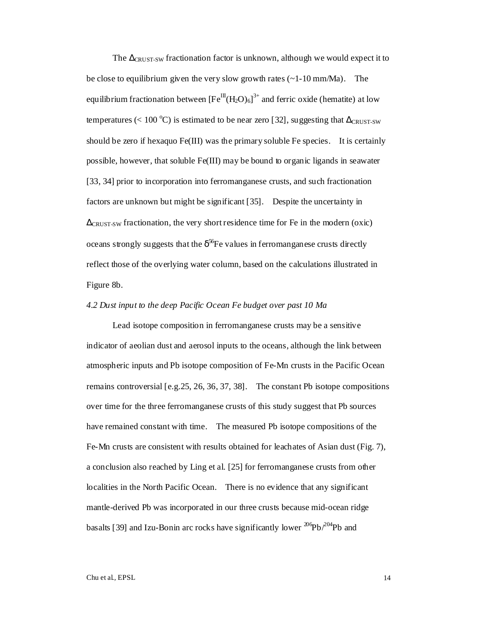The  $\Delta$ <sub>CRUST-SW</sub> fractionation factor is unknown, although we would expect it to be close to equilibrium given the very slow growth rates  $(\sim 1-10 \text{ mm/Ma})$ . The equilibrium fractionation between  $[Fe^{III}(H_2O)_6]^{3+}$  and ferric oxide (hematite) at low temperatures (< 100 °C) is estimated to be near zero [32], suggesting that  $\Delta_{CRUST-SW}$ should be zero if hexaquo  $Fe(III)$  was the primary soluble Fe species. It is certainly possible, however, that soluble Fe(III) may be bound to organic ligands in seawater [33, 34] prior to incorporation into ferromanganese crusts, and such fractionation factors are unknown but might be significant [35]. Despite the uncertainty in  $\Delta$ <sub>CRUST-SW</sub> fractionation, the very short residence time for Fe in the modern (oxic) oceans strongly suggests that the  $\delta^{56}$ Fe values in ferromanganese crusts directly reflect those of the overlying water column, based on the calculations illustrated in Figure 8b.

#### *4.2 Dust input to the deep Pacific Ocean Fe budget over past 10 Ma*

Lead isotope composition in ferromanganese crusts may be a sensitive indicator of aeolian dust and aerosol inputs to the oceans, although the link between atmospheric inputs and Pb isotope composition of Fe-Mn crusts in the Pacific Ocean remains controversial [e.g.25, 26, 36, 37, 38]. The constant Pb isotope compositions over time for the three ferromanganese crusts of this study suggest that Pb sources have remained constant with time. The measured Pb isotope compositions of the Fe-Mn crusts are consistent with results obtained for leachates of Asian dust (Fig. 7), a conclusion also reached by Ling et al. [25] for ferromanganese crusts from other localities in the North Pacific Ocean. There is no evidence that any significant mantle-derived Pb was incorporated in our three crusts because mid-ocean ridge basalts [39] and Izu-Bonin arc rocks have significantly lower  $^{206}Pb^{204}Pb$  and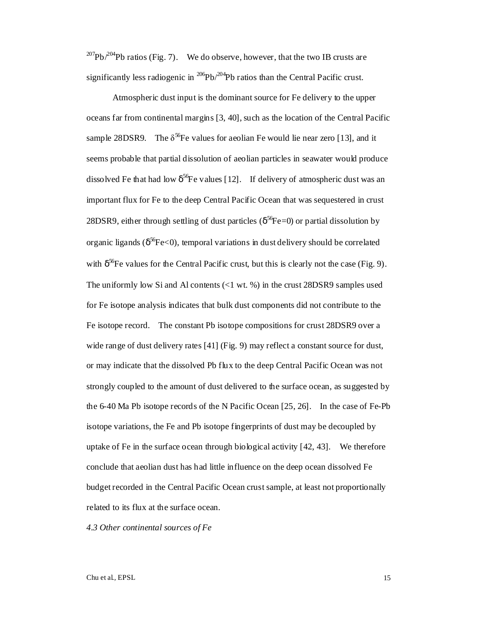<sup>207</sup>Pb/<sup>204</sup>Pb ratios (Fig. 7). We do observe, however, that the two IB crusts are significantly less radiogenic in  $^{206}Pb/^{204}Pb$  ratios than the Central Pacific crust.

Atmospheric dust input is the dominant source for Fe delivery to the upper oceans far from continental margins [3, 40], such as the location of the Central Pacific sample 28DSR9. The  $\delta^{56}$ Fe values for aeolian Fe would lie near zero [13], and it seems probable that partial dissolution of aeolian particles in seawater would produce dissolved Fe that had low  $\delta^{56}$ Fe values [12]. If delivery of atmospheric dust was an important flux for Fe to the deep Central Pacific Ocean that was sequestered in crust 28DSR9, either through settling of dust particles ( $\delta^{56}Fe=0$ ) or partial dissolution by organic ligands ( $\delta^{56}Fe<0$ ), temporal variations in dust delivery should be correlated with  $\delta^{56}$ Fe values for the Central Pacific crust, but this is clearly not the case (Fig. 9). The uniformly low Si and Al contents  $\ll 1$  wt. %) in the crust 28DSR9 samples used for Fe isotope analysis indicates that bulk dust components did not contribute to the Fe isotope record. The constant Pb isotope compositions for crust 28DSR9 over a wide range of dust delivery rates [41] (Fig. 9) may reflect a constant source for dust, or may indicate that the dissolved Pb flux to the deep Central Pacific Ocean was not strongly coupled to the amount of dust delivered to the surface ocean, as suggested by the 6-40 Ma Pb isotope records of the N Pacific Ocean [25, 26]. In the case of Fe-Pb isotope variations, the Fe and Pb isotope fingerprints of dust may be decoupled by uptake of Fe in the surface ocean through biological activity [42, 43]. We therefore conclude that aeolian dust has had little influence on the deep ocean dissolved Fe budget recorded in the Central Pacific Ocean crust sample, at least not proportionally related to its flux at the surface ocean.

*4.3 Other continental sources of Fe*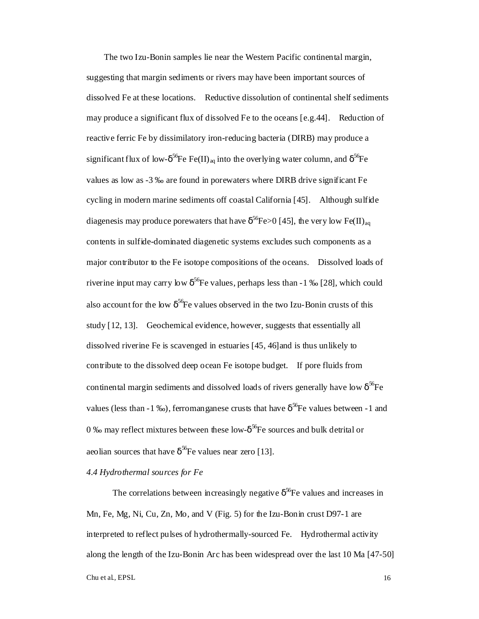The two Izu-Bonin samples lie near the Western Pacific continental margin, suggesting that margin sediments or rivers may have been important sources of dissolved Fe at these locations. Reductive dissolution of continental shelf sediments may produce a significant flux of dissolved Fe to the oceans [e.g.44]. Reduction of reactive ferric Fe by dissimilatory iron-reducing bacteria (DIRB) may produce a significant flux of low- $\delta^{56}$ Fe Fe(II)<sub>aq</sub> into the overlying water column, and  $\delta^{56}$ Fe values as low as -3 ‰ are found in porewaters where DIRB drive significant Fe cycling in modern marine sediments off coastal California [45]. Although sulfide diagenesis may produce porewaters that have  $\delta^{56}$ Fe>0 [45], the very low Fe(II)<sub>aq</sub> contents in sulfide-dominated diagenetic systems excludes such components as a major contributor to the Fe isotope compositions of the oceans. Dissolved loads of riverine input may carry low  $\delta^{56}$ Fe values, perhaps less than -1 ‰ [28], which could also account for the low  $\delta^{56}$ Fe values observed in the two Izu-Bonin crusts of this study [12, 13]. Geochemical evidence, however, suggests that essentially all dissolved riverine Fe is scavenged in estuaries [45, 46]and is thus unlikely to contribute to the dissolved deep ocean Fe isotope budget. If pore fluids from continental margin sediments and dissolved loads of rivers generally have low  $\delta^{56}$ Fe values (less than -1 ‰), ferromanganese crusts that have  $\delta^{56}$ Fe values between -1 and 0 ‰ may reflect mixtures between these low- $\delta^{56}$ Fe sources and bulk detrital or aeolian sources that have  $\delta^{56}$ Fe values near zero [13].

# *4.4 Hydrothermal sources for Fe*

Chu et al., EPSL 16 The correlations between increasingly negative  $\delta^{56}$ Fe values and increases in Mn, Fe, Mg, Ni, Cu, Zn, Mo, and V (Fig. 5) for the Izu-Bonin crust D97-1 are interpreted to reflect pulses of hydrothermally-sourced Fe. Hydrothermal activity along the length of the Izu-Bonin Arc has been widespread over the last 10 Ma [47-50]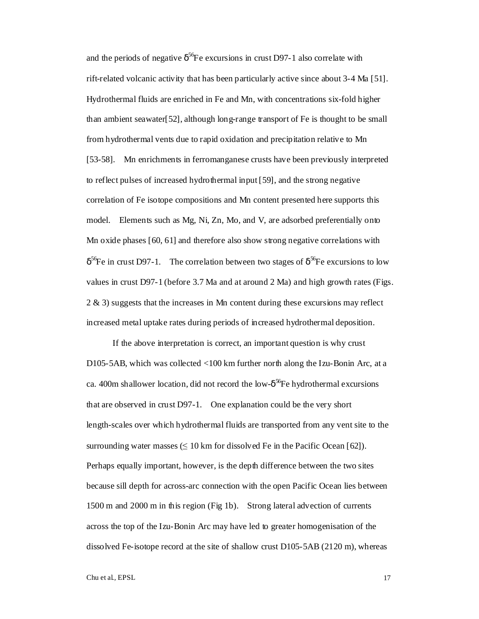and the periods of negative  $\delta^{56}$ Fe excursions in crust D97-1 also correlate with rift-related volcanic activity that has been particularly active since about 3-4 Ma [51]. Hydrothermal fluids are enriched in Fe and Mn, with concentrations six-fold higher than ambient seawater[52], although long-range transport of Fe is thought to be small from hydrothermal vents due to rapid oxidation and precipitation relative to Mn [53-58]. Mn enrichments in ferromanganese crusts have been previously interpreted to reflect pulses of increased hydrothermal input [59], and the strong negative correlation of Fe isotope compositions and Mn content presented here supports this model. Elements such as Mg, Ni, Zn, Mo, and V, are adsorbed preferentially onto Mn oxide phases [60, 61] and therefore also show strong negative correlations with  $\delta^{56}$ Fe in crust D97-1. The correlation between two stages of  $\delta^{56}$ Fe excursions to low values in crust D97-1 (before 3.7 Ma and at around 2 Ma) and high growth rates (Figs. 2 & 3) suggests that the increases in Mn content during these excursions may reflect increased metal uptake rates during periods of increased hydrothermal deposition.

If the above interpretation is correct, an important question is why crust D105-5AB, which was collected <100 km further north along the Izu-Bonin Arc, at a ca. 400m shallower location, did not record the low- $\delta^{56}$ Fe hydrothermal excursions that are observed in crust D97-1. One explanation could be the very short length-scales over which hydrothermal fluids are transported from any vent site to the surrounding water masses  $\leq 10$  km for dissolved Fe in the Pacific Ocean [62]). Perhaps equally important, however, is the depth difference between the two sites because sill depth for across-arc connection with the open Pacific Ocean lies between 1500 m and 2000 m in this region (Fig 1b). Strong lateral advection of currents across the top of the Izu-Bonin Arc may have led to greater homogenisation of the dissolved Fe-isotope record at the site of shallow crust  $D105-5AB(2120 m)$ , whereas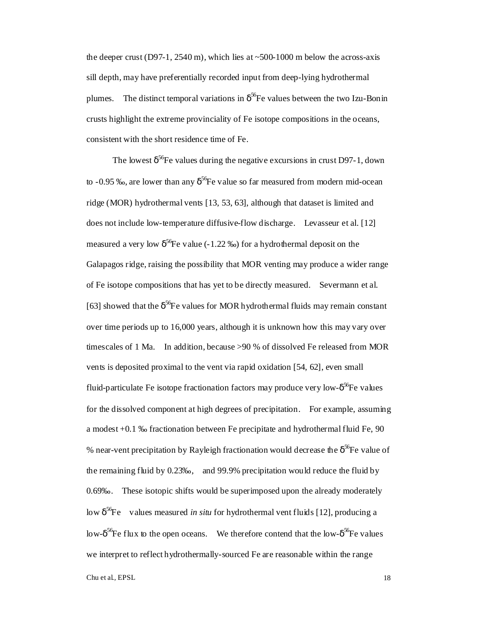the deeper crust (D97-1, 2540 m), which lies at  $\sim$ 500-1000 m below the across-axis sill depth, may have preferentially recorded input from deep-lying hydrothermal plumes. The distinct temporal variations in  $\delta^{56}$ Fe values between the two Izu-Bonin crusts highlight the extreme provinciality of Fe isotope compositions in the oceans, consistent with the short residence time of Fe.

The lowest  $\delta^{56}$ Fe values during the negative excursions in crust D97-1, down to -0.95 ‰, are lower than any  $\delta^{56}$ Fe value so far measured from modern mid-ocean ridge (MOR) hydrothermal vents [13, 53, 63], although that dataset is limited and does not include low-temperature diffusive-flow discharge. Levasseur et al. [12] measured a very low  $\delta^{56}$ Fe value (-1.22 ‰) for a hydrothermal deposit on the Galapagos ridge, raising the possibility that MOR venting may produce a wider range of Fe isotope compositions that has yet to be directly measured. Severmann et al. [63] showed that the  $\delta^{56}$ Fe values for MOR hydrothermal fluids may remain constant over time periods up to 16,000 years, although it is unknown how this may vary over timescales of 1 Ma. In addition, because >90 % of dissolved Fe released from MOR vents is deposited proximal to the vent via rapid oxidation [54, 62], even small fluid-particulate Fe isotope fractionation factors may produce very low- $\delta^{56}$ Fe values for the dissolved component at high degrees of precipitation. For example, assuming a modest +0.1 ‰ fractionation between Fe precipitate and hydrothermal fluid Fe, 90 % near-vent precipitation by Rayleigh fractionation would decrease the  $\delta^{56}$ Fe value of the remaining fluid by 0.23‰, and 99.9% precipitation would reduce the fluid by 0.69‰. These isotopic shifts would be superimposed upon the already moderately low δ<sup>56</sup>Fe values measured *in situ* for hydrothermal vent fluids [12], producing a low- $\delta^{56}$ Fe flux to the open oceans. We therefore contend that the low- $\delta^{56}$ Fe values we interpret to reflect hydrothermally-sourced Fe are reasonable within the range

Chu et al., EPSL 18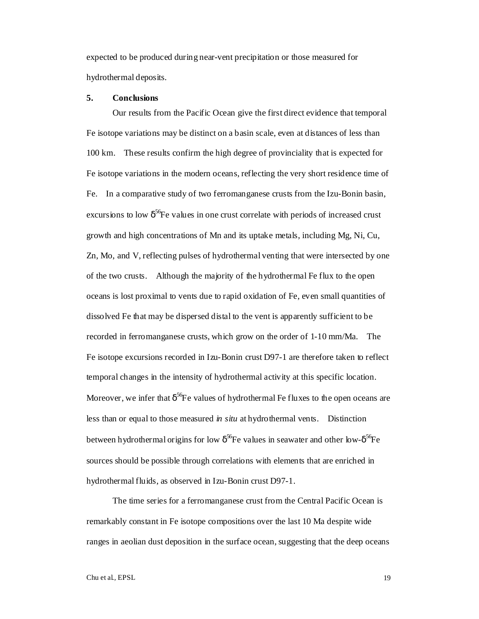expected to be produced during near-vent precipitation or those measured for hydrothermal deposits.

#### **5. Conclusions**

Our results from the Pacific Ocean give the first direct evidence that temporal Fe isotope variations may be distinct on a basin scale, even at distances of less than 100 km. These results confirm the high degree of provinciality that is expected for Fe isotope variations in the modern oceans, reflecting the very short residence time of Fe. In a comparative study of two ferromanganese crusts from the Izu-Bonin basin, excursions to low  $\delta^{56}$ Fe values in one crust correlate with periods of increased crust growth and high concentrations of Mn and its uptake metals, including Mg, Ni, Cu, Zn, Mo, and V, reflecting pulses of hydrothermal venting that were intersected by one of the two crusts. Although the majority of the hydrothermal Fe flux to the open oceans is lost proximal to vents due to rapid oxidation of Fe, even small quantities of dissolved Fe that may be dispersed distal to the vent is apparently sufficient to be recorded in ferromanganese crusts, which grow on the order of 1-10 mm/Ma. The Fe isotope excursions recorded in Izu-Bonin crust D97-1 are therefore taken to reflect temporal changes in the intensity of hydrothermal activity at this specific location. Moreover, we infer that  $\delta^{56}$ Fe values of hydrothermal Fe fluxes to the open oceans are less than or equal to those measured *in situ* at hydrothermal vents. Distinction between hydrothermal origins for low  $\delta^{56}$ Fe values in seawater and other low- $\delta^{56}$ Fe sources should be possible through correlations with elements that are enriched in hydrothermal fluids, as observed in Izu-Bonin crust D97-1.

The time series for a ferromanganese crust from the Central Pacific Ocean is remarkably constant in Fe isotope compositions over the last 10 Ma despite wide ranges in aeolian dust deposition in the surface ocean, suggesting that the deep oceans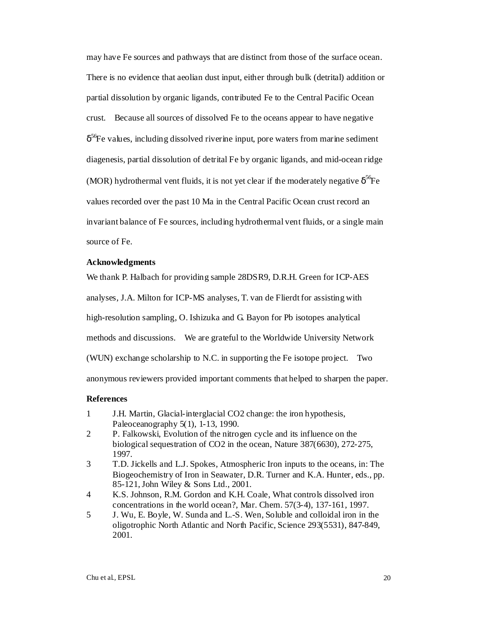may have Fe sources and pathways that are distinct from those of the surface ocean. There is no evidence that aeolian dust input, either through bulk (detrital) addition or partial dissolution by organic ligands, contributed Fe to the Central Pacific Ocean crust. Because all sources of dissolved Fe to the oceans appear to have negative  $\delta^{56}$ Fe values, including dissolved riverine input, pore waters from marine sediment diagenesis, partial dissolution of detrital Fe by organic ligands, and mid-ocean ridge (MOR) hydrothermal vent fluids, it is not yet clear if the moderately negative  $\delta^{56}$ Fe values recorded over the past 10 Ma in the Central Pacific Ocean crust record an invariant balance of Fe sources, including hydrothermal vent fluids, or a single main source of Fe.

#### **Acknowledgments**

We thank P. Halbach for providing sample 28DSR9, D.R.H. Green for ICP-AES

analyses, J.A. Milton for ICP-MS analyses, T. van de Flierdt for assisting with

high-resolution sampling, O. Ishizuka and G. Bayon for Pb isotopes analytical

methods and discussions. We are grateful to the Worldwide University Network

(WUN) exchange scholarship to N.C. in supporting the Fe isotope project. Two

anonymous reviewers provided important comments that helped to sharpen the paper.

#### **References**

- 1 J.H. Martin, Glacial-interglacial CO2 change: the iron hypothesis, Paleoceanography 5(1), 1-13, 1990.
- 2 P. Falkowski, Evolution of the nitrogen cycle and its influence on the biological sequestration of CO2 in the ocean, Nature 387(6630), 272-275, 1997.
- 3 T.D. Jickells and L.J. Spokes, Atmospheric Iron inputs to the oceans, in: The Biogeochemistry of Iron in Seawater, D.R. Turner and K.A. Hunter, eds., pp. 85-121, John Wiley & Sons Ltd., 2001.
- 4 K.S. Johnson, R.M. Gordon and K.H. Coale, What controls dissolved iron concentrations in the world ocean?, Mar. Chem. 57(3-4), 137-161, 1997.
- 5 J. Wu, E. Boyle, W. Sunda and L.-S. Wen, Soluble and colloidal iron in the oligotrophic North Atlantic and North Pacific, Science 293(5531), 847-849, 2001.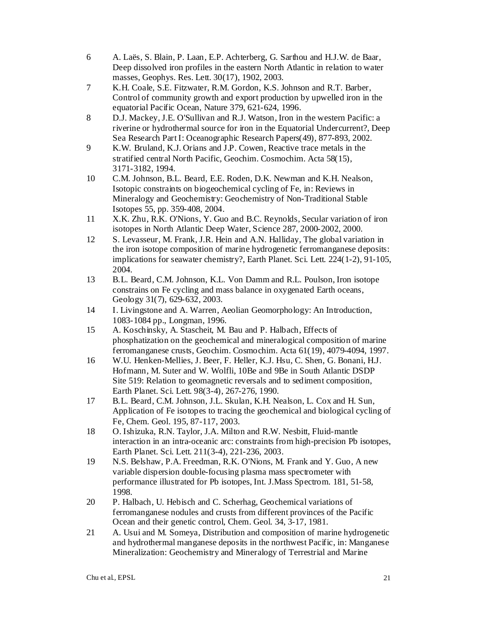- 6 A. Laës, S. Blain, P. Laan, E.P. Achterberg, G. Sarthou and H.J.W. de Baar, Deep dissolved iron profiles in the eastern North Atlantic in relation to water masses, Geophys. Res. Lett. 30(17), 1902, 2003.
- 7 K.H. Coale, S.E. Fitzwater, R.M. Gordon, K.S. Johnson and R.T. Barber, Control of community growth and export production by upwelled iron in the equatorial Pacific Ocean, Nature 379, 621-624, 1996.
- 8 D.J. Mackey, J.E. O'Sullivan and R.J. Watson, Iron in the western Pacific: a riverine or hydrothermal source for iron in the Equatorial Undercurrent?, Deep Sea Research Part I: Oceanographic Research Papers(49), 877-893, 2002.
- 9 K.W. Bruland, K.J. Orians and J.P. Cowen, Reactive trace metals in the stratified central North Pacific, Geochim. Cosmochim. Acta 58(15), 3171-3182, 1994.
- 10 C.M. Johnson, B.L. Beard, E.E. Roden, D.K. Newman and K.H. Nealson, Isotopic constraints on biogeochemical cycling of Fe, in: Reviews in Mineralogy and Geochemistry: Geochemistry of Non-Traditional Stable Isotopes 55, pp. 359-408, 2004.
- 11 X.K. Zhu, R.K. O'Nions, Y. Guo and B.C. Reynolds, Secular variation of iron isotopes in North Atlantic Deep Water, Science 287, 2000-2002, 2000.
- 12 S. Levasseur, M. Frank, J.R. Hein and A.N. Halliday, The global variation in the iron isotope composition of marine hydrogenetic ferromanganese deposits: implications for seawater chemistry?, Earth Planet. Sci. Lett. 224(1-2), 91-105, 2004.
- 13 B.L. Beard, C.M. Johnson, K.L. Von Damm and R.L. Poulson, Iron isotope constrains on Fe cycling and mass balance in oxygenated Earth oceans, Geology 31(7), 629-632, 2003.
- 14 I. Livingstone and A. Warren, Aeolian Geomorphology: An Introduction, 1083-1084 pp., Longman, 1996.
- 15 A. Koschinsky, A. Stascheit, M. Bau and P. Halbach, Effects of phosphatization on the geochemical and mineralogical composition of marine ferromanganese crusts, Geochim. Cosmochim. Acta 61(19), 4079-4094, 1997.
- 16 W.U. Henken-Mellies, J. Beer, F. Heller, K.J. Hsu, C. Shen, G. Bonani, H.J. Hofmann, M. Suter and W. Wolfli, 10Be and 9Be in South Atlantic DSDP Site 519: Relation to geomagnetic reversals and to sediment composition, Earth Planet. Sci. Lett. 98(3-4), 267-276, 1990.
- 17 B.L. Beard, C.M. Johnson, J.L. Skulan, K.H. Nealson, L. Cox and H. Sun, Application of Fe isotopes to tracing the geochemical and biological cycling of Fe, Chem. Geol. 195, 87-117, 2003.
- 18 O. Ishizuka, R.N. Taylor, J.A. Milton and R.W. Nesbitt, Fluid-mantle interaction in an intra-oceanic arc: constraints from high-precision Pb isotopes, Earth Planet. Sci. Lett. 211(3-4), 221-236, 2003.
- 19 N.S. Belshaw, P.A. Freedman, R.K. O'Nions, M. Frank and Y. Guo, A new variable dispersion double-focusing plasma mass spectrometer with performance illustrated for Pb isotopes, Int. J.Mass Spectrom. 181, 51-58, 1998.
- 20 P. Halbach, U. Hebisch and C. Scherhag, Geochemical variations of ferromanganese nodules and crusts from different provinces of the Pacific Ocean and their genetic control, Chem. Geol. 34, 3-17, 1981.
- 21 A. Usui and M. Someya, Distribution and composition of marine hydrogenetic and hydrothermal manganese deposits in the northwest Pacific, in: Manganese Mineralization: Geochemistry and Mineralogy of Terrestrial and Marine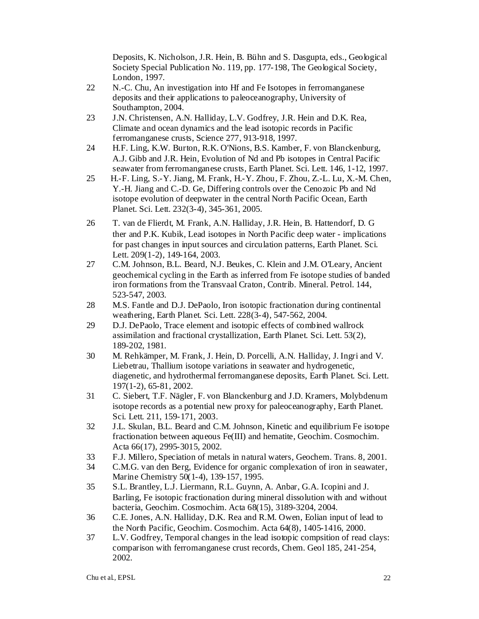Deposits, K. Nicholson, J.R. Hein, B. Bühn and S. Dasgupta, eds., Geological Society Special Publication No. 119, pp. 177-198, The Geological Society, London, 1997.

- 22 N.-C. Chu, An investigation into Hf and Fe Isotopes in ferromanganese deposits and their applications to paleoceanography, University of Southampton, 2004.
- 23 J.N. Christensen, A.N. Halliday, L.V. Godfrey, J.R. Hein and D.K. Rea, Climate and ocean dynamics and the lead isotopic records in Pacific ferromanganese crusts, Science 277, 913-918, 1997.
- 24 H.F. Ling, K.W. Burton, R.K. O'Nions, B.S. Kamber, F. von Blanckenburg, A.J. Gibb and J.R. Hein, Evolution of Nd and Pb isotopes in Central Pacific seawater from ferromanganese crusts, Earth Planet. Sci. Lett. 146, 1-12, 1997.
- 25 H.-F. Ling, S.-Y. Jiang, M. Frank, H.-Y. Zhou, F. Zhou, Z.-L. Lu, X.-M. Chen, Y.-H. Jiang and C.-D. Ge, Differing controls over the Cenozoic Pb and Nd isotope evolution of deepwater in the central North Pacific Ocean, Earth Planet. Sci. Lett. 232(3-4), 345-361, 2005.
- 26 T. van de Flierdt, M. Frank, A.N. Halliday, J.R. Hein, B. Hattendorf, D. G ther and P.K. Kubik, Lead isotopes in North Pacific deep water - implications for past changes in input sources and circulation patterns, Earth Planet. Sci. Lett. 209(1-2), 149-164, 2003.
- 27 C.M. Johnson, B.L. Beard, N.J. Beukes, C. Klein and J.M. O'Leary, Ancient geochemical cycling in the Earth as inferred from Fe isotope studies of banded iron formations from the Transvaal Craton, Contrib. Mineral. Petrol. 144, 523-547, 2003.
- 28 M.S. Fantle and D.J. DePaolo, Iron isotopic fractionation during continental weathering, Earth Planet. Sci. Lett. 228(3-4), 547-562, 2004.
- 29 D.J. DePaolo, Trace element and isotopic effects of combined wallrock assimilation and fractional crystallization, Earth Planet. Sci. Lett. 53(2), 189-202, 1981.
- 30 M. Rehkämper, M. Frank, J. Hein, D. Porcelli, A.N. Halliday, J. Ingri and V. Liebetrau, Thallium isotope variations in seawater and hydrogenetic, diagenetic, and hydrothermal ferromanganese deposits, Earth Planet. Sci. Lett. 197(1-2), 65-81, 2002.
- 31 C. Siebert, T.F. Nägler, F. von Blanckenburg and J.D. Kramers, Molybdenum isotope records as a potential new proxy for paleoceanography, Earth Planet. Sci. Lett. 211, 159-171, 2003.
- 32 J.L. Skulan, B.L. Beard and C.M. Johnson, Kinetic and equilibrium Fe isotope fractionation between aqueous Fe(III) and hematite, Geochim. Cosmochim. Acta 66(17), 2995-3015, 2002.
- 33 F.J. Millero, Speciation of metals in natural waters, Geochem. Trans. 8, 2001.
- 34 C.M.G. van den Berg, Evidence for organic complexation of iron in seawater, Marine Chemistry 50(1-4), 139-157, 1995.
- 35 S.L. Brantley, L.J. Liermann, R.L. Guynn, A. Anbar, G.A. Icopini and J. Barling, Fe isotopic fractionation during mineral dissolution with and without bacteria, Geochim. Cosmochim. Acta 68(15), 3189-3204, 2004.
- 36 C.E. Jones, A.N. Halliday, D.K. Rea and R.M. Owen, Eolian input of lead to the North Pacific, Geochim. Cosmochim. Acta 64(8), 1405-1416, 2000.
- 37 L.V. Godfrey, Temporal changes in the lead isotopic compsition of read clays: comparison with ferromanganese crust records, Chem. Geol 185, 241-254, 2002.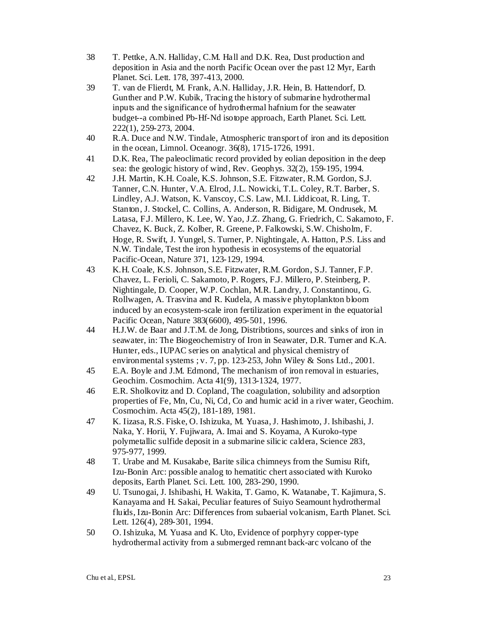- 38 T. Pettke, A.N. Halliday, C.M. Hall and D.K. Rea, Dust production and deposition in Asia and the north Pacific Ocean over the past 12 Myr, Earth Planet. Sci. Lett. 178, 397-413, 2000.
- 39 T. van de Flierdt, M. Frank, A.N. Halliday, J.R. Hein, B. Hattendorf, D. Gunther and P.W. Kubik, Tracing the history of submarine hydrothermal inputs and the significance of hydrothermal hafnium for the seawater budget--a combined Pb-Hf-Nd isotope approach, Earth Planet. Sci. Lett. 222(1), 259-273, 2004.
- 40 R.A. Duce and N.W. Tindale, Atmospheric transport of iron and its deposition in the ocean, Limnol. Oceanogr. 36(8), 1715-1726, 1991.
- 41 D.K. Rea, The paleoclimatic record provided by eolian deposition in the deep sea: the geologic history of wind, Rev. Geophys. 32(2), 159-195, 1994.
- 42 J.H. Martin, K.H. Coale, K.S. Johnson, S.E. Fitzwater, R.M. Gordon, S.J. Tanner, C.N. Hunter, V.A. Elrod, J.L. Nowicki, T.L. Coley, R.T. Barber, S. Lindley, A.J. Watson, K. Vanscoy, C.S. Law, M.I. Liddicoat, R. Ling, T. Stanton, J. Stockel, C. Collins, A. Anderson, R. Bidigare, M. Ondrusek, M. Latasa, F.J. Millero, K. Lee, W. Yao, J.Z. Zhang, G. Friedrich, C. Sakamoto, F. Chavez, K. Buck, Z. Kolber, R. Greene, P. Falkowski, S.W. Chisholm, F. Hoge, R. Swift, J. Yungel, S. Turner, P. Nightingale, A. Hatton, P.S. Liss and N.W. Tindale, Test the iron hypothesis in ecosystems of the equatorial Pacific-Ocean, Nature 371, 123-129, 1994.
- 43 K.H. Coale, K.S. Johnson, S.E. Fitzwater, R.M. Gordon, S.J. Tanner, F.P. Chavez, L. Ferioli, C. Sakamoto, P. Rogers, F.J. Millero, P. Steinberg, P. Nightingale, D. Cooper, W.P. Cochlan, M.R. Landry, J. Constantinou, G. Rollwagen, A. Trasvina and R. Kudela, A massive phytoplankton bloom induced by an ecosystem-scale iron fertilization experiment in the equatorial Pacific Ocean, Nature 383(6600), 495-501, 1996.
- 44 H.J.W. de Baar and J.T.M. de Jong, Distribtions, sources and sinks of iron in seawater, in: The Biogeochemistry of Iron in Seawater, D.R. Turner and K.A. Hunter, eds., IUPAC series on analytical and physical chemistry of environmental systems ; v. 7, pp. 123-253, John Wiley & Sons Ltd., 2001.
- 45 E.A. Boyle and J.M. Edmond, The mechanism of iron removal in estuaries, Geochim. Cosmochim. Acta 41(9), 1313-1324, 1977.
- 46 E.R. Sholkovitz and D. Copland, The coagulation, solubility and adsorption properties of Fe, Mn, Cu, Ni, Cd, Co and humic acid in a river water, Geochim. Cosmochim. Acta 45(2), 181-189, 1981.
- 47 K. Iizasa, R.S. Fiske, O. Ishizuka, M. Yuasa, J. Hashimoto, J. Ishibashi, J. Naka, Y. Horii, Y. Fujiwara, A. Imai and S. Koyama, A Kuroko-type polymetallic sulfide deposit in a submarine silicic caldera, Science 283, 975-977, 1999.
- 48 T. Urabe and M. Kusakabe, Barite silica chimneys from the Sumisu Rift, Izu-Bonin Arc: possible analog to hematitic chert associated with Kuroko deposits, Earth Planet. Sci. Lett. 100, 283-290, 1990.
- 49 U. Tsunogai, J. Ishibashi, H. Wakita, T. Gamo, K. Watanabe, T. Kajimura, S. Kanayama and H. Sakai, Peculiar features of Suiyo Seamount hydrothermal fluids, Izu-Bonin Arc: Differences from subaerial volcanism, Earth Planet. Sci. Lett. 126(4), 289-301, 1994.
- 50 O. Ishizuka, M. Yuasa and K. Uto, Evidence of porphyry copper-type hydrothermal activity from a submerged remnant back-arc volcano of the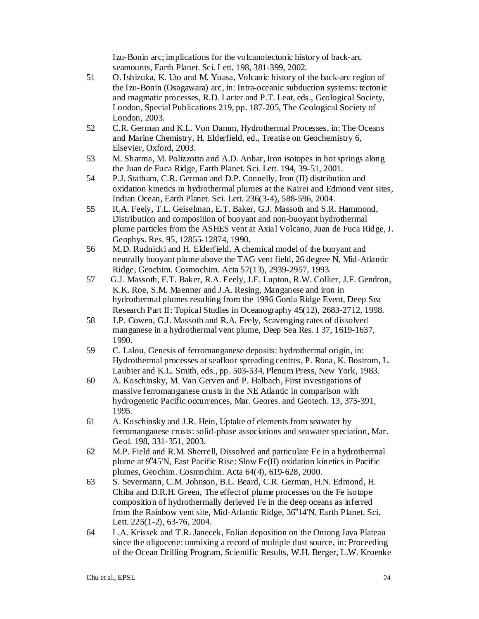Izu-Bonin arc; implications for the volcanotectonic history of back-arc seamounts, Earth Planet. Sci. Lett. 198, 381-399, 2002.

- 51 O. Ishizuka, K. Uto and M. Yuasa, Volcanic history of the back-arc region of the Izu-Bonin (Osagawara) arc, in: Intra-oceanic subduction systems: tectonic and magmatic processes, R.D. Larter and P.T. Leat, eds., Geological Society, London, Special Publications 219, pp. 187-205, The Geological Society of London, 2003.
- 52 C.R. German and K.L. Von Damm, Hydrothermal Processes, in: The Oceans and Marine Chemistry, H. Elderfield, ed., Treatise on Geochemistry 6, Elsevier, Oxford, 2003.
- 53 M. Sharma, M. Polizzotto and A.D. Anbar, Iron isotopes in hot springs along the Juan de Fuca Ridge, Earth Planet. Sci. Lett. 194, 39-51, 2001.
- 54 P.J. Statham, C.R. German and D.P. Connelly, Iron (II) distribution and oxidation kinetics in hydrothermal plumes at the Kairei and Edmond vent sites, Indian Ocean, Earth Planet. Sci. Lett. 236(3-4), 588-596, 2004.
- 55 R.A. Feely, T.L. Geiselman, E.T. Baker, G.J. Massoth and S.R. Hammond, Distribution and composition of buoyant and non-buoyant hydrothermal plume particles from the ASHES vent at Axial Volcano, Juan de Fuca Ridge, J. Geophys. Res. 95, 12855-12874, 1990.
- 56 M.D. Rudnicki and H. Elderfield, A chemical model of the buoyant and neutrally buoyant plume above the TAG vent field, 26 degree N, Mid-Atlantic Ridge, Geochim. Cosmochim. Acta 57(13), 2939-2957, 1993.
- 57 G.J. Massoth, E.T. Baker, R.A. Feely, J.E. Lupton, R.W. Collier, J.F. Gendron, K.K. Roe, S.M. Maenner and J.A. Resing, Manganese and iron in hydrothermal plumes resulting from the 1996 Gorda Ridge Event, Deep Sea Research Part II: Topical Studies in Oceanography 45(12), 2683-2712, 1998.
- 58 J.P. Cowen, G.J. Massoth and R.A. Feely, Scavenging rates of dissolved manganese in a hydrothermal vent plume, Deep Sea Res. I 37, 1619-1637, 1990.
- 59 C. Lalou, Genesis of ferromanganese deposits: hydrothermal origin, in: Hydrothermal processes at seafloor spreading centres, P. Rona, K. Bostrom, L. Laubier and K.L. Smith, eds., pp. 503-534, Plenum Press, New York, 1983.
- 60 A. Koschinsky, M. Van Gerven and P. Halbach, First investigations of massive ferromanganese crusts in the NE Atlantic in comparison with hydrogenetic Pacific occurrences, Mar. Geores. and Geotech. 13, 375-391, 1995.
- 61 A. Koschinsky and J.R. Hein, Uptake of elements from seawater by ferromanganese crusts: solid-phase associations and seawater speciation, Mar. Geol. 198, 331-351, 2003.
- 62 M.P. Field and R.M. Sherrell, Dissolved and particulate Fe in a hydrothermal plume at  $9^{\circ}45'N$ , East Pacific Rise: Slow Fe(II) oxidation kinetics in Pacific plumes, Geochim. Cosmochim. Acta 64(4), 619-628, 2000.
- 63 S. Severmann, C.M. Johnson, B.L. Beard, C.R. German, H.N. Edmond, H. Chiba and D.R.H. Green, The effect of plume processes on the Fe isotope composition of hydrothermally derieved Fe in the deep oceans as inferred from the Rainbow vent site, Mid-Atlantic Ridge, 36°14'N, Earth Planet. Sci. Lett. 225(1-2), 63-76, 2004.
- 64 L.A. Krissek and T.R. Janecek, Eolian deposition on the Ontong Java Plateau since the oligocene: unmixing a record of multiple dust source, in: Proceeding of the Ocean Drilling Program, Scientific Results, W.H. Berger, L.W. Kroenke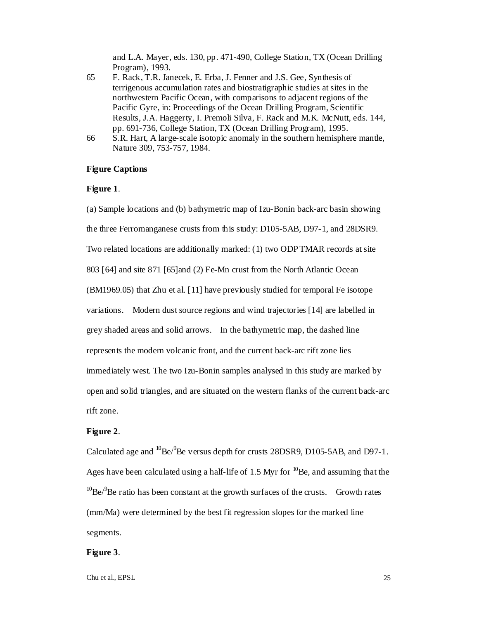and L.A. Mayer, eds. 130, pp. 471-490, College Station, TX (Ocean Drilling Program), 1993.

- 65 F. Rack, T.R. Janecek, E. Erba, J. Fenner and J.S. Gee, Synthesis of terrigenous accumulation rates and biostratigraphic studies at sites in the northwestern Pacific Ocean, with comparisons to adjacent regions of the Pacific Gyre, in: Proceedings of the Ocean Drilling Program, Scientific Results, J.A. Haggerty, I. Premoli Silva, F. Rack and M.K. McNutt, eds. 144, pp. 691-736, College Station, TX (Ocean Drilling Program), 1995.
- 66 S.R. Hart, A large-scale isotopic anomaly in the southern hemisphere mantle, Nature 309, 753-757, 1984.

#### **Figure Captions**

## **Figure 1**.

(a) Sample locations and (b) bathymetric map of Izu-Bonin back-arc basin showing the three Ferromanganese crusts from this study: D105-5AB, D97-1, and 28DSR9. Two related locations are additionally marked: (1) two ODP TMAR records at site 803 [64] and site 871 [65]and (2) Fe-Mn crust from the North Atlantic Ocean (BM1969.05) that Zhu et al. [11] have previously studied for temporal Fe isotope variations. Modern dust source regions and wind trajectories [14] are labelled in grey shaded areas and solid arrows. In the bathymetric map, the dashed line represents the modern volcanic front, and the current back-arc rift zone lies immediately west. The two Izu-Bonin samples analysed in this study are marked by open and solid triangles, and are situated on the western flanks of the current back-arc rift zone.

### **Figure 2**.

Calculated age and  ${}^{10}$ Be/ ${}^{9}$ Be versus depth for crusts 28DSR9, D105-5AB, and D97-1. Ages have been calculated using a half-life of 1.5 Myr for  $^{10}$ Be, and assuming that the  $10^{\circ}$ Be/ $\degree$ Be ratio has been constant at the growth surfaces of the crusts. Growth rates (mm/Ma) were determined by the best fit regression slopes for the marked line segments.

#### **Figure 3**.

Chu et al., EPSL 25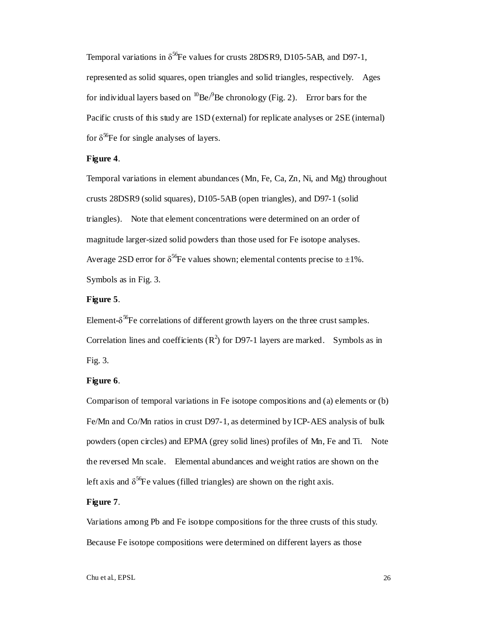Temporal variations in  $\delta^{56}$ Fe values for crusts 28DSR9, D105-5AB, and D97-1, represented as solid squares, open triangles and solid triangles, respectively. Ages for individual layers based on  ${}^{10}$ Be $/{}^{9}$ Be chronology (Fig. 2). Error bars for the Pacific crusts of this study are 1SD (external) for replicate analyses or 2SE (internal) for  $\delta^{56}$ Fe for single analyses of layers.

## **Figure 4**.

Temporal variations in element abundances (Mn, Fe, Ca, Zn, Ni, and Mg) throughout crusts 28DSR9 (solid squares), D105-5AB (open triangles), and D97-1 (solid triangles). Note that element concentrations were determined on an order of magnitude larger-sized solid powders than those used for Fe isotope analyses. Average 2SD error for  $\delta^{56}$ Fe values shown; elemental contents precise to  $\pm 1\%$ . Symbols as in Fig. 3.

# **Figure 5**.

Element- $\delta^{56}$ Fe correlations of different growth layers on the three crust samples. Correlation lines and coefficients  $(R^2)$  for D97-1 layers are marked. Symbols as in Fig. 3.

#### **Figure 6**.

Comparison of temporal variations in Fe isotope compositions and (a) elements or (b) Fe/Mn and Co/Mn ratios in crust D97-1, as determined by ICP-AES analysis of bulk powders (open circles) and EPMA (grey solid lines) profiles of Mn, Fe and Ti. Note the reversed Mn scale. Elemental abundances and weight ratios are shown on the left axis and  $\delta^{56}$ Fe values (filled triangles) are shown on the right axis.

### **Figure 7**.

Variations among Pb and Fe isotope compositions for the three crusts of this study. Because Fe isotope compositions were determined on different layers as those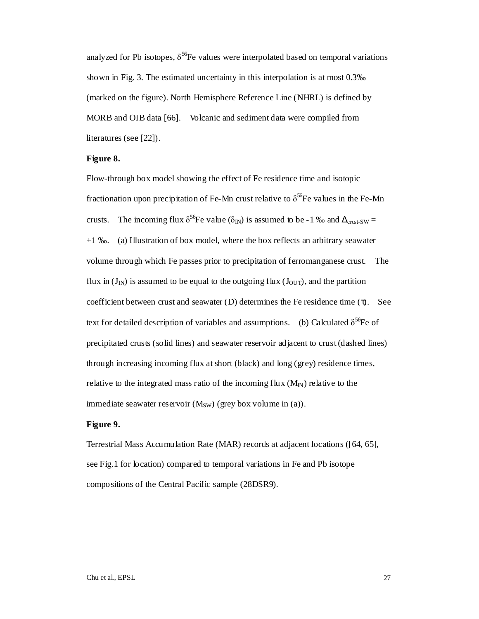analyzed for Pb isotopes,  $\delta^{56}$ Fe values were interpolated based on temporal variations shown in Fig. 3. The estimated uncertainty in this interpolation is at most 0.3‰ (marked on the figure). North Hemisphere Reference Line (NHRL) is defined by MORB and OIB data [66]. Volcanic and sediment data were compiled from literatures (see [22]).

#### **Figure 8.**

Flow-through box model showing the effect of Fe residence time and isotopic fractionation upon precipitation of Fe-Mn crust relative to  $\delta^{56}$ Fe values in the Fe-Mn crusts. The incoming flux  $\delta^{56}$ Fe value ( $\delta_{\text{IN}}$ ) is assumed to be -1 ‰ and  $\Delta_{\text{cnst-SW}}$  = +1 ‰. (a) Illustration of box model, where the box reflects an arbitrary seawater volume through which Fe passes prior to precipitation of ferromanganese crust. The flux in  $(J_{IN})$  is assumed to be equal to the outgoing flux  $(J_{OUT})$ , and the partition coefficient between crust and seawater (D) determines the Fe residence time (τ). See text for detailed description of variables and assumptions. (b) Calculated  $\delta^{56}$ Fe of precipitated crusts (solid lines) and seawater reservoir adjacent to crust (dashed lines) through increasing incoming flux at short (black) and long (grey) residence times, relative to the integrated mass ratio of the incoming flux  $(M_{N})$  relative to the immediate seawater reservoir  $(M_{SW})$  (grey box volume in (a)).

#### **Figure 9.**

Terrestrial Mass Accumulation Rate (MAR) records at adjacent locations ([64, 65], see Fig.1 for location) compared to temporal variations in Fe and Pb isotope compositions of the Central Pacific sample (28DSR9).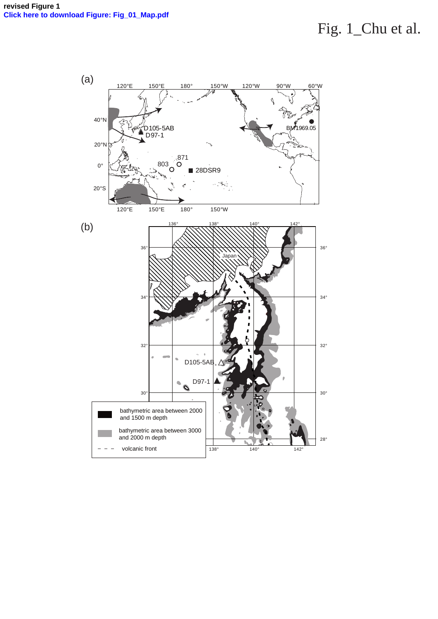# Fig. 1\_Chu et al.

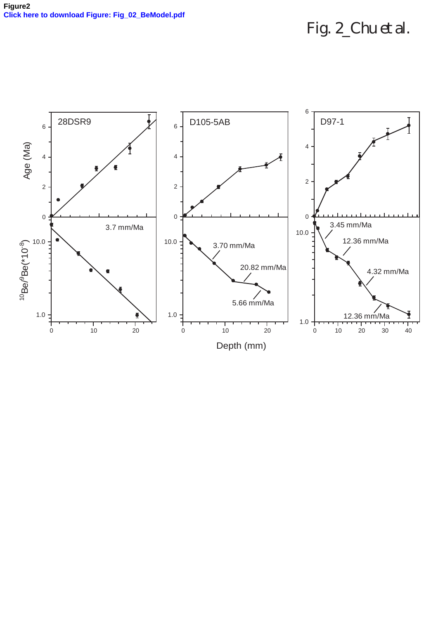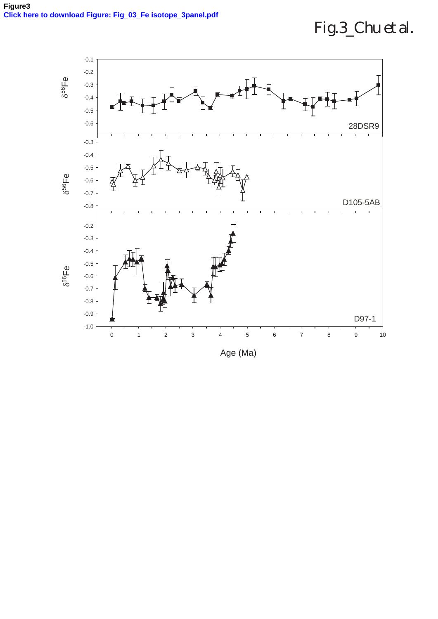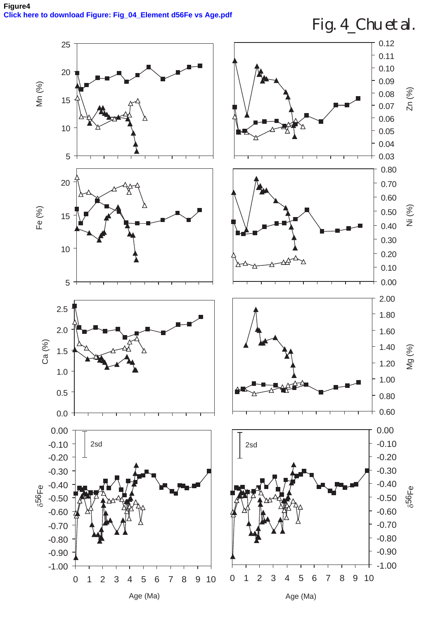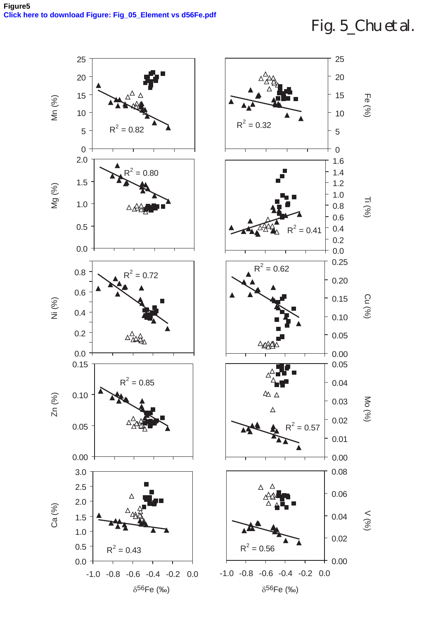# Fig. 5\_Chu et al.

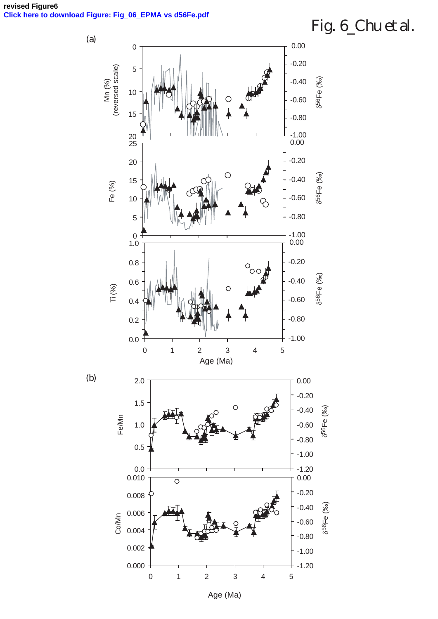**revised Figure6 [Click here to download Figure: Fig\\_06\\_EPMA vs d56Fe.pd](http://ees.elsevier.com/epsl/download.aspx?id=31277&guid=60d87993-6e51-4f7a-b8b2-1bc949b41968&scheme=1)f**

# Fig. 6\_Chu et al.



Age (Ma)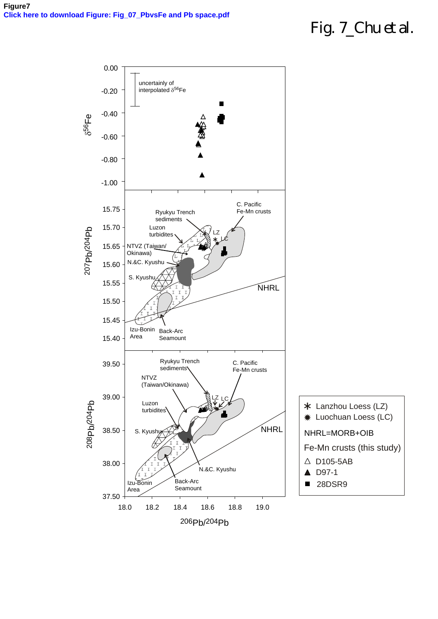# Fig. 7\_Chu et al.